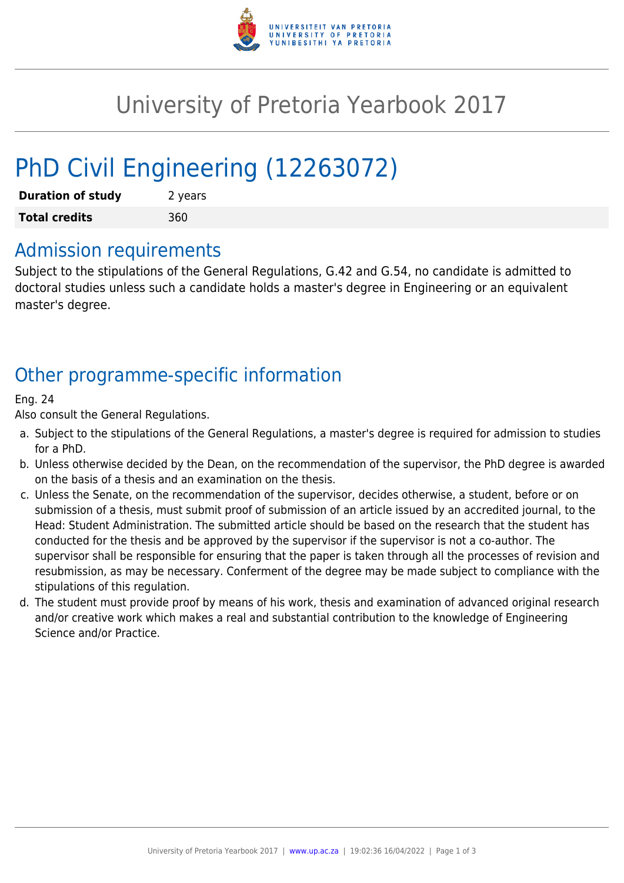

# University of Pretoria Yearbook 2017

# PhD Civil Engineering (12263072)

| <b>Duration of study</b> | 2 years |
|--------------------------|---------|
| <b>Total credits</b>     | 360     |

### Admission requirements

Subject to the stipulations of the General Regulations, G.42 and G.54, no candidate is admitted to doctoral studies unless such a candidate holds a master's degree in Engineering or an equivalent master's degree.

## Other programme-specific information

#### Eng. 24

Also consult the General Regulations.

- a. Subject to the stipulations of the General Regulations, a master's degree is required for admission to studies for a PhD.
- b. Unless otherwise decided by the Dean, on the recommendation of the supervisor, the PhD degree is awarded on the basis of a thesis and an examination on the thesis.
- c. Unless the Senate, on the recommendation of the supervisor, decides otherwise, a student, before or on submission of a thesis, must submit proof of submission of an article issued by an accredited journal, to the Head: Student Administration. The submitted article should be based on the research that the student has conducted for the thesis and be approved by the supervisor if the supervisor is not a co-author. The supervisor shall be responsible for ensuring that the paper is taken through all the processes of revision and resubmission, as may be necessary. Conferment of the degree may be made subject to compliance with the stipulations of this regulation.
- d. The student must provide proof by means of his work, thesis and examination of advanced original research and/or creative work which makes a real and substantial contribution to the knowledge of Engineering Science and/or Practice.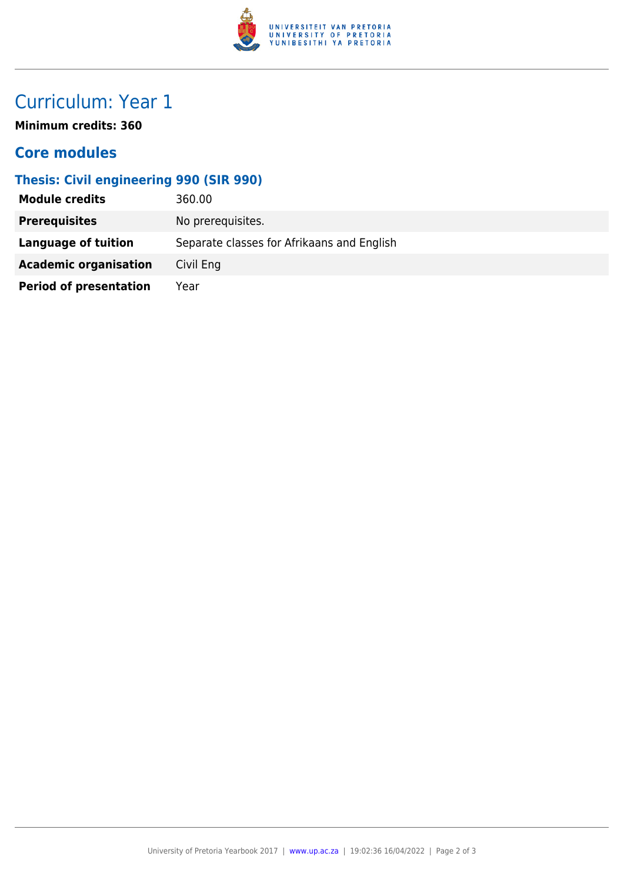

## Curriculum: Year 1

**Minimum credits: 360**

### **Core modules**

#### **Thesis: Civil engineering 990 (SIR 990)**

| <b>Module credits</b>         | 360.00                                     |
|-------------------------------|--------------------------------------------|
| <b>Prerequisites</b>          | No prerequisites.                          |
| <b>Language of tuition</b>    | Separate classes for Afrikaans and English |
| <b>Academic organisation</b>  | Civil Eng                                  |
| <b>Period of presentation</b> | Year                                       |